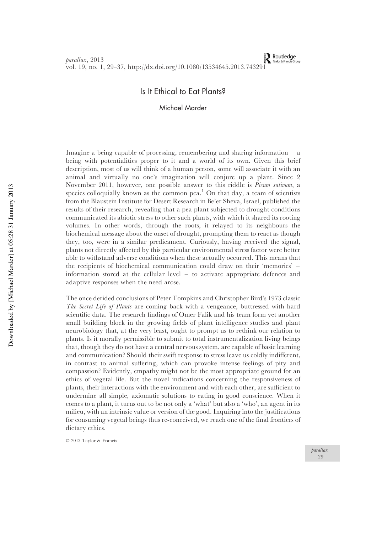## Is It Ethical to Eat Plants?

## Michael Marder

Imagine a being capable of processing, remembering and sharing information  $-$  a being with potentialities proper to it and a world of its own. Given this brief description, most of us will think of a human person, some will associate it with an animal and virtually no one's imagination will conjure up a plant. Since 2 November 2011, however, one possible answer to this riddle is Pisum sativum, a species colloquially known as the common pea.<sup>1</sup> On that day, a team of scientists from the Blaustein Institute for Desert Research in Be'er Sheva, Israel, published the results of their research, revealing that a pea plant subjected to drought conditions communicated its abiotic stress to other such plants, with which it shared its rooting volumes. In other words, through the roots, it relayed to its neighbours the biochemical message about the onset of drought, prompting them to react as though they, too, were in a similar predicament. Curiously, having received the signal, plants not directly affected by this particular environmental stress factor were better able to withstand adverse conditions when these actually occurred. This means that the recipients of biochemical communication could draw on their 'memories' – information stored at the cellular level – to activate appropriate defences and adaptive responses when the need arose.

The once derided conclusions of Peter Tompkins and Christopher Bird's 1973 classic The Secret Life of Plants are coming back with a vengeance, buttressed with hard scientific data. The research findings of Omer Falik and his team form yet another small building block in the growing fields of plant intelligence studies and plant neurobiology that, at the very least, ought to prompt us to rethink our relation to plants. Is it morally permissible to submit to total instrumentalization living beings that, though they do not have a central nervous system, are capable of basic learning and communication? Should their swift response to stress leave us coldly indifferent, in contrast to animal suffering, which can provoke intense feelings of pity and compassion? Evidently, empathy might not be the most appropriate ground for an ethics of vegetal life. But the novel indications concerning the responsiveness of plants, their interactions with the environment and with each other, are sufficient to undermine all simple, axiomatic solutions to eating in good conscience. When it comes to a plant, it turns out to be not only a 'what' but also a 'who', an agent in its milieu, with an intrinsic value or version of the good. Inquiring into the justifications for consuming vegetal beings thus re-conceived, we reach one of the final frontiers of dietary ethics.

 $Q$  2013 Taylor & Francis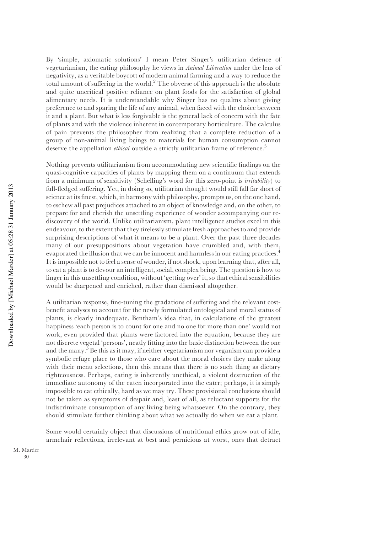By 'simple, axiomatic solutions' I mean Peter Singer's utilitarian defence of vegetarianism, the eating philosophy he views in Animal Liberation under the lens of negativity, as a veritable boycott of modern animal farming and a way to reduce the total amount of suffering in the world.<sup>2</sup> The obverse of this approach is the absolute and quite uncritical positive reliance on plant foods for the satisfaction of global alimentary needs. It is understandable why Singer has no qualms about giving preference to and sparing the life of any animal, when faced with the choice between it and a plant. But what is less forgivable is the general lack of concern with the fate of plants and with the violence inherent in contemporary horticulture. The calculus of pain prevents the philosopher from realizing that a complete reduction of a group of non-animal living beings to materials for human consumption cannot deserve the appellation *ethical* outside a strictly utilitarian frame of reference.<sup>3</sup>

Nothing prevents utilitarianism from accommodating new scientific findings on the quasi-cognitive capacities of plants by mapping them on a continuum that extends from a minimum of sensitivity (Schelling's word for this zero-point is irritability) to full-fledged suffering. Yet, in doing so, utilitarian thought would still fall far short of science at its finest, which, in harmony with philosophy, prompts us, on the one hand, to eschew all past prejudices attached to an object of knowledge and, on the other, to prepare for and cherish the unsettling experience of wonder accompanying our rediscovery of the world. Unlike utilitarianism, plant intelligence studies excel in this endeavour, to the extent that they tirelessly stimulate fresh approaches to and provide surprising descriptions of what it means to be a plant. Over the past three decades many of our presuppositions about vegetation have crumbled and, with them, evaporated the illusion that we can be innocent and harmless in our eating practices.<sup>4</sup> It is impossible not to feel a sense of wonder, if not shock, upon learning that, after all, to eat a plant is to devour an intelligent, social, complex being. The question is how to linger in this unsettling condition, without 'getting over' it, so that ethical sensibilities would be sharpened and enriched, rather than dismissed altogether.

A utilitarian response, fine-tuning the gradations of suffering and the relevant costbenefit analyses to account for the newly formulated ontological and moral status of plants, is clearly inadequate. Bentham's idea that, in calculations of the greatest happiness 'each person is to count for one and no one for more than one' would not work, even provided that plants were factored into the equation, because they are not discrete vegetal 'persons', neatly fitting into the basic distinction between the one and the many.<sup>5</sup> Be this as it may, if neither vegetarianism nor veganism can provide a symbolic refuge place to those who care about the moral choices they make along with their menu selections, then this means that there is no such thing as dietary righteousness. Perhaps, eating is inherently unethical, a violent destruction of the immediate autonomy of the eaten incorporated into the eater; perhaps, it is simply impossible to eat ethically, hard as we may try. These provisional conclusions should not be taken as symptoms of despair and, least of all, as reluctant supports for the indiscriminate consumption of any living being whatsoever. On the contrary, they should stimulate further thinking about what we actually do when we eat a plant.

Some would certainly object that discussions of nutritional ethics grow out of idle, armchair reflections, irrelevant at best and pernicious at worst, ones that detract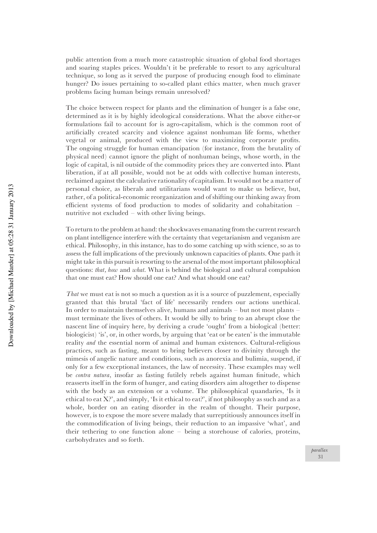public attention from a much more catastrophic situation of global food shortages and soaring staples prices. Wouldn't it be preferable to resort to any agricultural technique, so long as it served the purpose of producing enough food to eliminate hunger? Do issues pertaining to so-called plant ethics matter, when much graver problems facing human beings remain unresolved?

The choice between respect for plants and the elimination of hunger is a false one, determined as it is by highly ideological considerations. What the above either-or formulations fail to account for is agro-capitalism, which is the common root of artificially created scarcity and violence against nonhuman life forms, whether vegetal or animal, produced with the view to maximizing corporate profits. The ongoing struggle for human emancipation (for instance, from the brutality of physical need) cannot ignore the plight of nonhuman beings, whose worth, in the logic of capital, is nil outside of the commodity prices they are converted into. Plant liberation, if at all possible, would not be at odds with collective human interests, reclaimed against the calculative rationality of capitalism. It would not be a matter of personal choice, as liberals and utilitarians would want to make us believe, but, rather, of a political-economic reorganization and of shifting our thinking away from efficient systems of food production to modes of solidarity and cohabitation – nutritive not excluded – with other living beings.

To return to the problem at hand: the shockwaves emanating from the current research on plant intelligence interfere with the certainty that vegetarianism and veganism are ethical. Philosophy, in this instance, has to do some catching up with science, so as to assess the full implications of the previously unknown capacities of plants. One path it might take in this pursuit is resorting to the arsenal of the most important philosophical questions: that, how and what. What is behind the biological and cultural compulsion that one must eat? How should one eat? And what should one eat?

That we must eat is not so much a question as it is a source of puzzlement, especially granted that this brutal 'fact of life' necessarily renders our actions unethical. In order to maintain themselves alive, humans and animals – but not most plants – must terminate the lives of others. It would be silly to bring to an abrupt close the nascent line of inquiry here, by deriving a crude 'ought' from a biological (better: biologicist) 'is', or, in other words, by arguing that 'eat or be eaten' is the immutable reality and the essential norm of animal and human existences. Cultural-religious practices, such as fasting, meant to bring believers closer to divinity through the mimesis of angelic nature and conditions, such as anorexia and bulimia, suspend, if only for a few exceptional instances, the law of necessity. These examples may well be contra natura, insofar as fasting futilely rebels against human finitude, which reasserts itself in the form of hunger, and eating disorders aim altogether to dispense with the body as an extension or a volume. The philosophical quandaries, 'Is it ethical to eat X?', and simply, 'Is it ethical to eat?', if not philosophy as such and as a whole, border on an eating disorder in the realm of thought. Their purpose, however, is to expose the more severe malady that surreptitiously announces itself in the commodification of living beings, their reduction to an impassive 'what', and their tethering to one function alone – being a storehouse of calories, proteins, carbohydrates and so forth.

parallax 31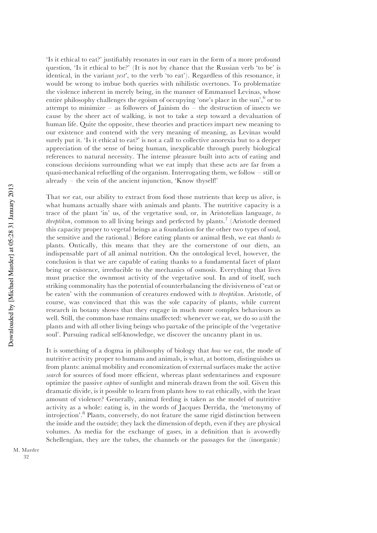'Is it ethical to eat?' justifiably resonates in our ears in the form of a more profound question, 'Is it ethical to be?' (It is not by chance that the Russian verb 'to be' is identical, in the variant yest', to the verb 'to eat'). Regardless of this resonance, it would be wrong to imbue both queries with nihilistic overtones. To problematize the violence inherent in merely being, in the manner of Emmanuel Levinas, whose entire philosophy challenges the egoism of occupying 'one's place in the sun', $6$  or to attempt to minimize – as followers of Jainism do – the destruction of insects we cause by the sheer act of walking, is not to take a step toward a devaluation of human life. Quite the opposite, these theories and practices impart new meaning to our existence and contend with the very meaning of meaning, as Levinas would surely put it. 'Is it ethical to eat?' is not a call to collective anorexia but to a deeper appreciation of the sense of being human, inexplicable through purely biological references to natural necessity. The intense pleasure built into acts of eating and conscious decisions surrounding what we eat imply that these acts are far from a quasi-mechanical refuelling of the organism. Interrogating them, we follow – still or already – the vein of the ancient injunction, 'Know thyself!'

That we eat, our ability to extract from food those nutrients that keep us alive, is what humans actually share with animals and plants. The nutritive capacity is a trace of the plant 'in' us, of the vegetative soul, or, in Aristotelian language, to threptikon, common to all living beings and perfected by plants.<sup>7</sup> (Aristotle deemed this capacity proper to vegetal beings as a foundation for the other two types of soul, the sensitive and the rational.) Before eating plants or animal flesh, we eat thanks to plants. Ontically, this means that they are the cornerstone of our diets, an indispensable part of all animal nutrition. On the ontological level, however, the conclusion is that we are capable of eating thanks to a fundamental facet of plant being or existence, irreducible to the mechanics of osmosis. Everything that lives must practice the ownmost activity of the vegetative soul. In and of itself, such striking commonality has the potential of counterbalancing the divisiveness of 'eat or be eaten' with the communion of creatures endowed with to threptikon. Aristotle, of course, was convinced that this was the sole capacity of plants, while current research in botany shows that they engage in much more complex behaviours as well. Still, the common base remains unaffected: whenever we eat, we do so with the plants and with all other living beings who partake of the principle of the 'vegetative soul'. Pursuing radical self-knowledge, we discover the uncanny plant in us.

It is something of a dogma in philosophy of biology that how we eat, the mode of nutritive activity proper to humans and animals, is what, at bottom, distinguishes us from plants: animal mobility and economization of external surfaces make the active search for sources of food more efficient, whereas plant sedentariness and exposure optimize the passive capture of sunlight and minerals drawn from the soil. Given this dramatic divide, is it possible to learn from plants how to eat ethically, with the least amount of violence? Generally, animal feeding is taken as the model of nutritive activity as a whole: eating is, in the words of Jacques Derrida, the 'metonymy of introjection'.<sup>8</sup> Plants, conversely, do not feature the same rigid distinction between the inside and the outside; they lack the dimension of depth, even if they are physical volumes. As media for the exchange of gases, in a definition that is avowedly Schellengian, they are the tubes, the channels or the passages for the (inorganic)

M. Marder 32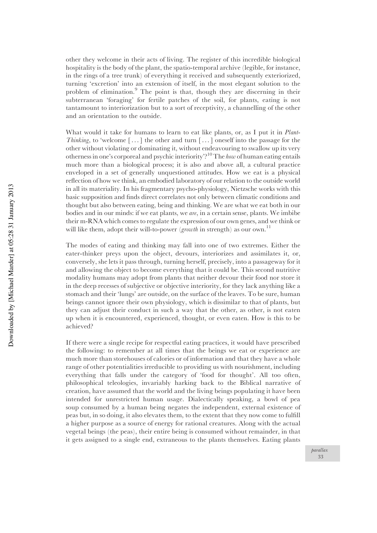other they welcome in their acts of living. The register of this incredible biological hospitality is the body of the plant, the spatio-temporal archive (legible, for instance, in the rings of a tree trunk) of everything it received and subsequently exteriorized, turning 'excretion' into an extension of itself, in the most elegant solution to the problem of elimination.<sup>9</sup> The point is that, though they are discerning in their subterranean 'foraging' for fertile patches of the soil, for plants, eating is not tantamount to interiorization but to a sort of receptivity, a channelling of the other and an orientation to the outside.

What would it take for humans to learn to eat like plants, or, as I put it in *Plant*-*Thinking*, to 'welcome [...] the other and turn [...] oneself into the passage for the other without violating or dominating it, without endeavouring to swallow up its very otherness in one's corporeal and psychic interiority'?<sup>10</sup> The *how* of human eating entails much more than a biological process; it is also and above all, a cultural practice enveloped in a set of generally unquestioned attitudes. How we eat is a physical reflection of how we think, an embodied laboratory of our relation to the outside world in all its materiality. In his fragmentary psycho-physiology, Nietzsche works with this basic supposition and finds direct correlates not only between climatic conditions and thought but also between eating, being and thinking. We are what we eat both in our bodies and in our minds: if we eat plants, we are, in a certain sense, plants. We imbibe their m-RNA which comes to regulate the expression of our own genes, and we think or will like them, adopt their will-to-power (*growth* in strength) as our own.<sup>11</sup>

The modes of eating and thinking may fall into one of two extremes. Either the eater-thinker preys upon the object, devours, interiorizes and assimilates it, or, conversely, she lets it pass through, turning herself, precisely, into a passageway for it and allowing the object to become everything that it could be. This second nutritive modality humans may adopt from plants that neither devour their food nor store it in the deep recesses of subjective or objective interiority, for they lack anything like a stomach and their 'lungs' are outside, on the surface of the leaves. To be sure, human beings cannot ignore their own physiology, which is dissimilar to that of plants, but they can adjust their conduct in such a way that the other, as other, is not eaten up when it is encountered, experienced, thought, or even eaten. How is this to be achieved?

If there were a single recipe for respectful eating practices, it would have prescribed the following: to remember at all times that the beings we eat or experience are much more than storehouses of calories or of information and that they have a whole range of other potentialities irreducible to providing us with nourishment, including everything that falls under the category of 'food for thought'. All too often, philosophical teleologies, invariably harking back to the Biblical narrative of creation, have assumed that the world and the living beings populating it have been intended for unrestricted human usage. Dialectically speaking, a bowl of pea soup consumed by a human being negates the independent, external existence of peas but, in so doing, it also elevates them, to the extent that they now come to fulfill a higher purpose as a source of energy for rational creatures. Along with the actual vegetal beings (the peas), their entire being is consumed without remainder, in that it gets assigned to a single end, extraneous to the plants themselves. Eating plants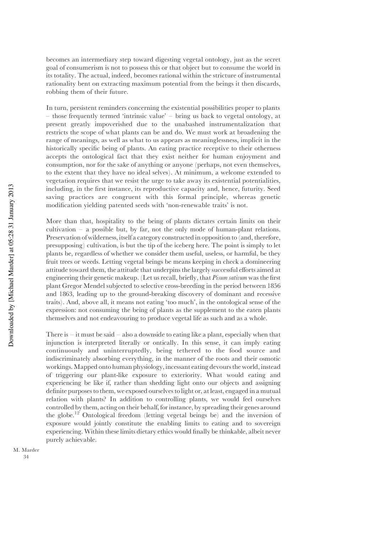becomes an intermediary step toward digesting vegetal ontology, just as the secret goal of consumerism is not to possess this or that object but to consume the world in its totality. The actual, indeed, becomes rational within the stricture of instrumental rationality bent on extracting maximum potential from the beings it then discards, robbing them of their future.

In turn, persistent reminders concerning the existential possibilities proper to plants – those frequently termed 'intrinsic value' – bring us back to vegetal ontology, at present greatly impoverished due to the unabashed instrumentalization that restricts the scope of what plants can be and do. We must work at broadening the range of meanings, as well as what to us appears as meaninglessness, implicit in the historically specific being of plants. An eating practice receptive to their otherness accepts the ontological fact that they exist neither for human enjoyment and consumption, nor for the sake of anything or anyone (perhaps, not even themselves, to the extent that they have no ideal selves). At minimum, a welcome extended to vegetation requires that we resist the urge to take away its existential potentialities, including, in the first instance, its reproductive capacity and, hence, futurity. Seed saving practices are congruent with this formal principle, whereas genetic modification yielding patented seeds with 'non-renewable traits' is not.

More than that, hospitality to the being of plants dictates certain limits on their cultivation – a possible but, by far, not the only mode of human-plant relations. Preservation of wilderness, itself a category constructed in opposition to (and, therefore, presupposing) cultivation, is but the tip of the iceberg here. The point is simply to let plants be, regardless of whether we consider them useful, useless, or harmful, be they fruit trees or weeds. Letting vegetal beings be means keeping in check a domineering attitude toward them, the attitude that underpins the largely successful efforts aimed at engineering their genetic makeup. (Let us recall, briefly, that Pisum sativum was the first plant Gregor Mendel subjected to selective cross-breeding in the period between 1856 and 1863, leading up to the ground-breaking discovery of dominant and recessive traits). And, above all, it means not eating 'too much', in the ontological sense of the expression: not consuming the being of plants as the supplement to the eaten plants themselves and not endeavouring to produce vegetal life as such and as a whole.

There is  $-$  it must be said  $-$  also a downside to eating like a plant, especially when that injunction is interpreted literally or ontically. In this sense, it can imply eating continuously and uninterruptedly, being tethered to the food source and indiscriminately absorbing everything, in the manner of the roots and their osmotic workings.Mapped onto human physiology, incessant eating devours the world, instead of triggering our plant-like exposure to exteriority. What would eating and experiencing be like if, rather than shedding light onto our objects and assigning definite purposes to them, we exposed ourselves to light or, at least, engaged in a mutual relation with plants? In addition to controlling plants, we would feel ourselves controlled by them, acting on their behalf, for instance, by spreading their genes around the globe.12 Ontological freedom (letting vegetal beings be) and the inversion of exposure would jointly constitute the enabling limits to eating and to sovereign experiencing. Within these limits dietary ethics would finally be thinkable, albeit never purely achievable.

M. Marder

34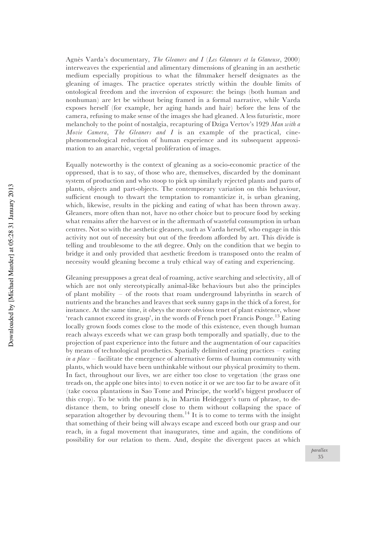Agnès Varda's documentary, The Gleaners and I (Les Glaneurs et la Glaneuse, 2000) interweaves the experiential and alimentary dimensions of gleaning in an aesthetic medium especially propitious to what the filmmaker herself designates as the gleaning of images. The practice operates strictly within the double limits of ontological freedom and the inversion of exposure: the beings (both human and nonhuman) are let be without being framed in a formal narrative, while Varda exposes herself (for example, her aging hands and hair) before the lens of the camera, refusing to make sense of the images she had gleaned. A less futuristic, more melancholy to the point of nostalgia, recapturing of Dziga Vertov's 1929 Man with a Movie Camera, The Gleaners and I is an example of the practical, cinephenomenological reduction of human experience and its subsequent approximation to an anarchic, vegetal proliferation of images.

Equally noteworthy is the context of gleaning as a socio-economic practice of the oppressed, that is to say, of those who are, themselves, discarded by the dominant system of production and who stoop to pick up similarly rejected plants and parts of plants, objects and part-objects. The contemporary variation on this behaviour, sufficient enough to thwart the temptation to romanticize it, is urban gleaning, which, likewise, results in the picking and eating of what has been thrown away. Gleaners, more often than not, have no other choice but to procure food by seeking what remains after the harvest or in the aftermath of wasteful consumption in urban centres. Not so with the aesthetic gleaners, such as Varda herself, who engage in this activity not out of necessity but out of the freedom afforded by art. This divide is telling and troublesome to the nth degree. Only on the condition that we begin to bridge it and only provided that aesthetic freedom is transposed onto the realm of necessity would gleaning become a truly ethical way of eating and experiencing.

Gleaning presupposes a great deal of roaming, active searching and selectivity, all of which are not only stereotypically animal-like behaviours but also the principles of plant mobility – of the roots that roam underground labyrinths in search of nutrients and the branches and leaves that seek sunny gaps in the thick of a forest, for instance. At the same time, it obeys the more obvious tenet of plant existence, whose 'reach cannot exceed its grasp', in the words of French poet Francis Ponge.13 Eating locally grown foods comes close to the mode of this existence, even though human reach always exceeds what we can grasp both temporally and spatially, due to the projection of past experience into the future and the augmentation of our capacities by means of technological prosthetics. Spatially delimited eating practices – eating in a place – facilitate the emergence of alternative forms of human community with plants, which would have been unthinkable without our physical proximity to them. In fact, throughout our lives, we are either too close to vegetation (the grass one treads on, the apple one bites into) to even notice it or we are too far to be aware of it (take cocoa plantations in Sao Tome and Principe, the world's biggest producer of this crop). To be with the plants is, in Martin Heidegger's turn of phrase, to dedistance them, to bring oneself close to them without collapsing the space of separation altogether by devouring them.<sup>14</sup> It is to come to terms with the insight that something of their being will always escape and exceed both our grasp and our reach, in a fugal movement that inaugurates, time and again, the conditions of possibility for our relation to them. And, despite the divergent paces at which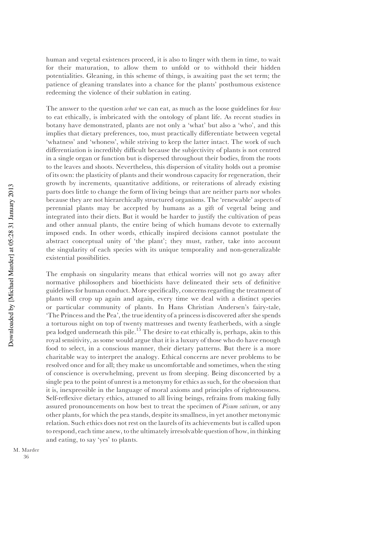human and vegetal existences proceed, it is also to linger with them in time, to wait for their maturation, to allow them to unfold or to withhold their hidden potentialities. Gleaning, in this scheme of things, is awaiting past the set term; the patience of gleaning translates into a chance for the plants' posthumous existence redeeming the violence of their sublation in eating.

The answer to the question what we can eat, as much as the loose guidelines for how to eat ethically, is imbricated with the ontology of plant life. As recent studies in botany have demonstrated, plants are not only a 'what' but also a 'who', and this implies that dietary preferences, too, must practically differentiate between vegetal 'whatness' and 'whoness', while striving to keep the latter intact. The work of such differentiation is incredibly difficult because the subjectivity of plants is not centred in a single organ or function but is dispersed throughout their bodies, from the roots to the leaves and shoots. Nevertheless, this dispersion of vitality holds out a promise of its own: the plasticity of plants and their wondrous capacity for regeneration, their growth by increments, quantitative additions, or reiterations of already existing parts does little to change the form of living beings that are neither parts nor wholes because they are not hierarchically structured organisms. The 'renewable' aspects of perennial plants may be accepted by humans as a gift of vegetal being and integrated into their diets. But it would be harder to justify the cultivation of peas and other annual plants, the entire being of which humans devote to externally imposed ends. In other words, ethically inspired decisions cannot postulate the abstract conceptual unity of 'the plant'; they must, rather, take into account the singularity of each species with its unique temporality and non-generalizable existential possibilities.

The emphasis on singularity means that ethical worries will not go away after normative philosophers and bioethicists have delineated their sets of definitive guidelines for human conduct. More specifically, concerns regarding the treatment of plants will crop up again and again, every time we deal with a distinct species or particular community of plants. In Hans Christian Andersen's fairy-tale, 'The Princess and the Pea', the true identity of a princess is discovered after she spends a torturous night on top of twenty mattresses and twenty featherbeds, with a single pea lodged underneath this pile.<sup>15</sup> The desire to eat ethically is, perhaps, akin to this royal sensitivity, as some would argue that it is a luxury of those who do have enough food to select, in a conscious manner, their dietary patterns. But there is a more charitable way to interpret the analogy. Ethical concerns are never problems to be resolved once and for all; they make us uncomfortable and sometimes, when the sting of conscience is overwhelming, prevent us from sleeping. Being disconcerted by a single pea to the point of unrest is a metonymy for ethics as such, for the obsession that it is, inexpressible in the language of moral axioms and principles of righteousness. Self-reflexive dietary ethics, attuned to all living beings, refrains from making fully assured pronouncements on how best to treat the specimen of Pisum sativum, or any other plants, for which the pea stands, despite its smallness, in yet another metonymic relation. Such ethics does not rest on the laurels of its achievements but is called upon to respond, each time anew, to the ultimately irresolvable question of how, in thinking and eating, to say 'yes' to plants.

M. Marder

36